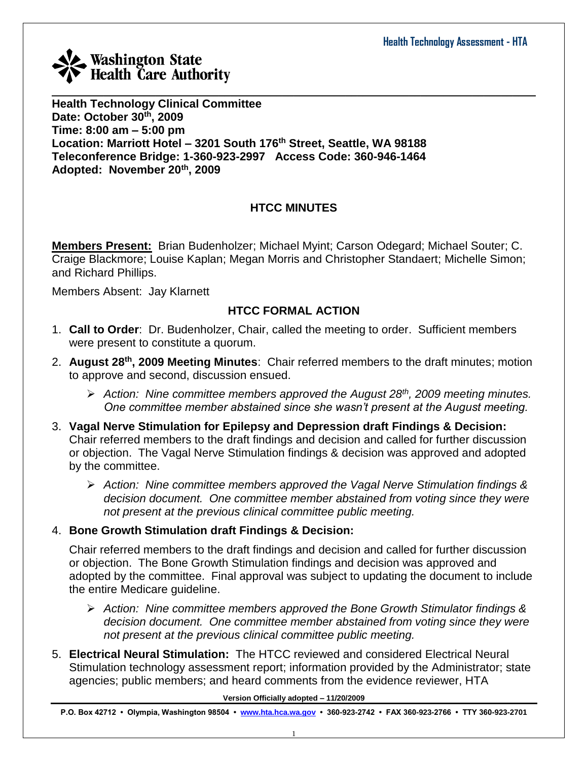

**Health Technology Clinical Committee Date: October 30th, 2009 Time: 8:00 am – 5:00 pm Location: Marriott Hotel – 3201 South 176th Street, Seattle, WA 98188 Teleconference Bridge: 1-360-923-2997 Access Code: 360-946-1464 Adopted: November 20th, 2009**

## **HTCC MINUTES**

**Members Present:** Brian Budenholzer; Michael Myint; Carson Odegard; Michael Souter; C. Craige Blackmore; Louise Kaplan; Megan Morris and Christopher Standaert; Michelle Simon; and Richard Phillips.

Members Absent: Jay Klarnett

## **HTCC FORMAL ACTION**

- 1. **Call to Order**: Dr. Budenholzer, Chair, called the meeting to order. Sufficient members were present to constitute a quorum.
- 2. **August 28th , 2009 Meeting Minutes**: Chair referred members to the draft minutes; motion to approve and second, discussion ensued.
	- *Action: Nine committee members approved the August 28th, 2009 meeting minutes. One committee member abstained since she wasn't present at the August meeting.*
- 3. **Vagal Nerve Stimulation for Epilepsy and Depression draft Findings & Decision:** Chair referred members to the draft findings and decision and called for further discussion or objection. The Vagal Nerve Stimulation findings & decision was approved and adopted by the committee.
	- *Action: Nine committee members approved the Vagal Nerve Stimulation findings & decision document. One committee member abstained from voting since they were not present at the previous clinical committee public meeting.*

## 4. **Bone Growth Stimulation draft Findings & Decision:**

Chair referred members to the draft findings and decision and called for further discussion or objection. The Bone Growth Stimulation findings and decision was approved and adopted by the committee. Final approval was subject to updating the document to include the entire Medicare guideline.

- *Action: Nine committee members approved the Bone Growth Stimulator findings & decision document. One committee member abstained from voting since they were not present at the previous clinical committee public meeting.*
- 5. **Electrical Neural Stimulation:** The HTCC reviewed and considered Electrical Neural Stimulation technology assessment report; information provided by the Administrator; state agencies; public members; and heard comments from the evidence reviewer, HTA

**Version Officially adopted – 11/20/2009**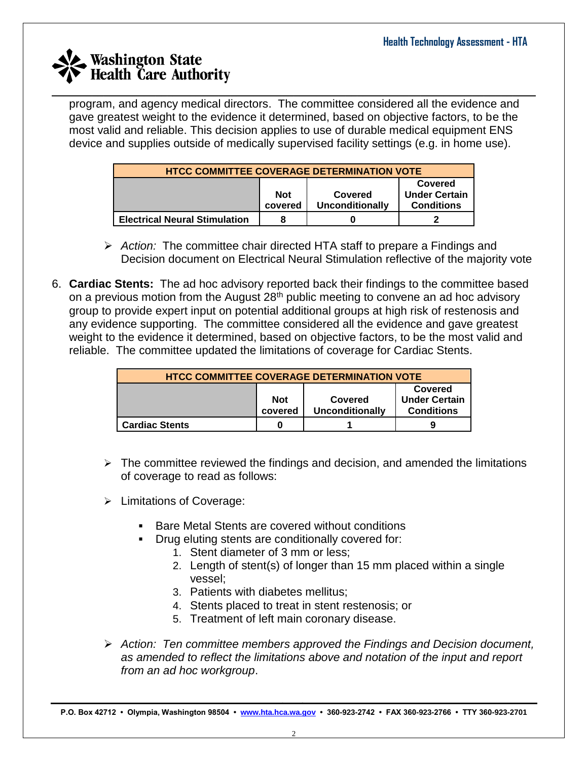program, and agency medical directors. The committee considered all the evidence and gave greatest weight to the evidence it determined, based on objective factors, to be the most valid and reliable. This decision applies to use of durable medical equipment ENS device and supplies outside of medically supervised facility settings (e.g. in home use).

| <b>HTCC COMMITTEE COVERAGE DETERMINATION VOTE</b>                                                           |  |  |  |  |  |  |
|-------------------------------------------------------------------------------------------------------------|--|--|--|--|--|--|
| Covered<br><b>Under Certain</b><br><b>Not</b><br>Covered<br>Unconditionally<br><b>Conditions</b><br>covered |  |  |  |  |  |  |
| <b>Electrical Neural Stimulation</b>                                                                        |  |  |  |  |  |  |

- *Action:* The committee chair directed HTA staff to prepare a Findings and Decision document on Electrical Neural Stimulation reflective of the majority vote
- 6. **Cardiac Stents:** The ad hoc advisory reported back their findings to the committee based on a previous motion from the August 28<sup>th</sup> public meeting to convene an ad hoc advisory group to provide expert input on potential additional groups at high risk of restenosis and any evidence supporting. The committee considered all the evidence and gave greatest weight to the evidence it determined, based on objective factors, to be the most valid and reliable. The committee updated the limitations of coverage for Cardiac Stents.

| <b>HTCC COMMITTEE COVERAGE DETERMINATION VOTE</b>                                                                  |   |  |  |  |  |
|--------------------------------------------------------------------------------------------------------------------|---|--|--|--|--|
| Covered<br><b>Under Certain</b><br><b>Not</b><br>Covered<br><b>Conditions</b><br><b>Unconditionally</b><br>covered |   |  |  |  |  |
| <b>Cardiac Stents</b>                                                                                              | 0 |  |  |  |  |

- $\triangleright$  The committee reviewed the findings and decision, and amended the limitations of coverage to read as follows:
- $\triangleright$  Limitations of Coverage:
	- Bare Metal Stents are covered without conditions
	- Drug eluting stents are conditionally covered for:
		- 1. Stent diameter of 3 mm or less;
		- 2. Length of stent(s) of longer than 15 mm placed within a single vessel;
		- 3. Patients with diabetes mellitus;
		- 4. Stents placed to treat in stent restenosis; or
		- 5. Treatment of left main coronary disease.
- *Action: Ten committee members approved the Findings and Decision document, as amended to reflect the limitations above and notation of the input and report from an ad hoc workgroup*.

**Version Officially adopted – 11/20/2009 P.O. Box 42712 • Olympia, Washington 98504 • [www.hta.hca.wa.gov](http://www.hta.hca.wa.gov/) • 360-923-2742 • FAX 360-923-2766 • TTY 360-923-2701**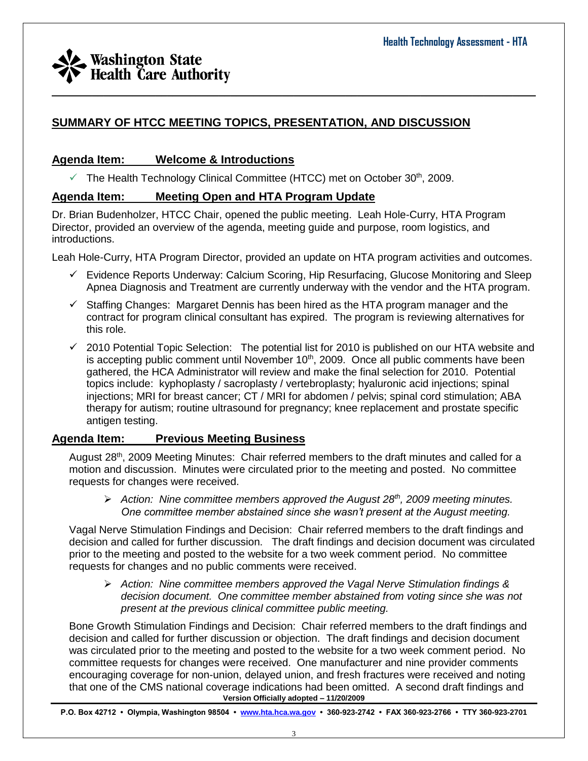## **SUMMARY OF HTCC MEETING TOPICS, PRESENTATION, AND DISCUSSION**

## **Agenda Item: Welcome & Introductions**

 $\checkmark$  The Health Technology Clinical Committee (HTCC) met on October 30<sup>th</sup>, 2009.

## **Agenda Item: Meeting Open and HTA Program Update**

Dr. Brian Budenholzer, HTCC Chair, opened the public meeting. Leah Hole-Curry, HTA Program Director, provided an overview of the agenda, meeting guide and purpose, room logistics, and introductions.

Leah Hole-Curry, HTA Program Director, provided an update on HTA program activities and outcomes.

\_\_\_\_\_\_\_\_\_\_\_\_\_\_\_\_\_\_\_\_\_\_\_\_\_\_\_\_\_\_\_\_\_\_\_\_\_\_\_\_\_\_\_\_\_\_\_\_\_\_\_\_\_\_\_\_\_\_\_\_\_\_\_\_\_\_\_\_\_\_\_\_\_\_\_\_\_\_\_\_\_\_\_\_

- Evidence Reports Underway: Calcium Scoring, Hip Resurfacing, Glucose Monitoring and Sleep Apnea Diagnosis and Treatment are currently underway with the vendor and the HTA program.
- $\checkmark$  Staffing Changes: Margaret Dennis has been hired as the HTA program manager and the contract for program clinical consultant has expired. The program is reviewing alternatives for this role.
- $\checkmark$  2010 Potential Topic Selection: The potential list for 2010 is published on our HTA website and is accepting public comment until November  $10<sup>th</sup>$ , 2009. Once all public comments have been gathered, the HCA Administrator will review and make the final selection for 2010. Potential topics include: kyphoplasty / sacroplasty / vertebroplasty; hyaluronic acid injections; spinal injections; MRI for breast cancer; CT / MRI for abdomen / pelvis; spinal cord stimulation; ABA therapy for autism; routine ultrasound for pregnancy; knee replacement and prostate specific antigen testing.

## **Agenda Item: Previous Meeting Business**

August 28<sup>th</sup>, 2009 Meeting Minutes: Chair referred members to the draft minutes and called for a motion and discussion. Minutes were circulated prior to the meeting and posted. No committee requests for changes were received.

 *Action: Nine committee members approved the August 28th, 2009 meeting minutes. One committee member abstained since she wasn't present at the August meeting.*

Vagal Nerve Stimulation Findings and Decision: Chair referred members to the draft findings and decision and called for further discussion. The draft findings and decision document was circulated prior to the meeting and posted to the website for a two week comment period. No committee requests for changes and no public comments were received.

 *Action: Nine committee members approved the Vagal Nerve Stimulation findings & decision document. One committee member abstained from voting since she was not present at the previous clinical committee public meeting.*

**Version Officially adopted – 11/20/2009** Bone Growth Stimulation Findings and Decision: Chair referred members to the draft findings and decision and called for further discussion or objection. The draft findings and decision document was circulated prior to the meeting and posted to the website for a two week comment period. No committee requests for changes were received. One manufacturer and nine provider comments encouraging coverage for non-union, delayed union, and fresh fractures were received and noting that one of the CMS national coverage indications had been omitted. A second draft findings and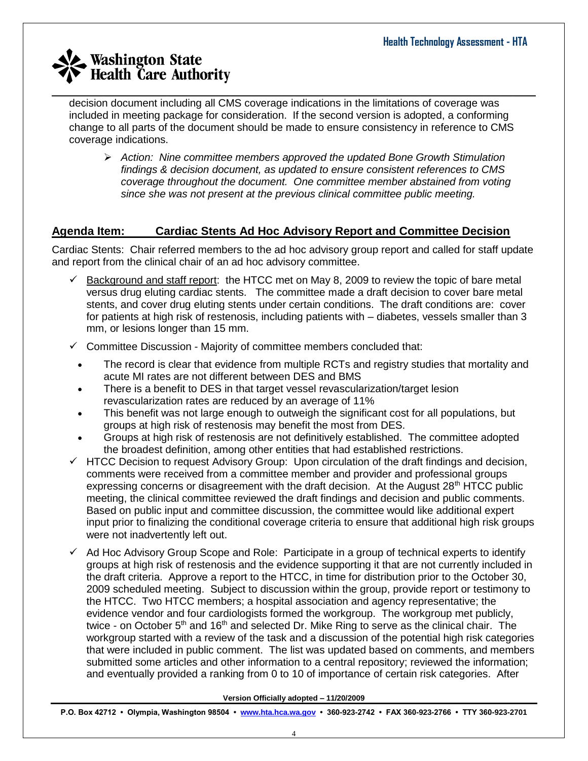decision document including all CMS coverage indications in the limitations of coverage was included in meeting package for consideration. If the second version is adopted, a conforming change to all parts of the document should be made to ensure consistency in reference to CMS coverage indications.

\_\_\_\_\_\_\_\_\_\_\_\_\_\_\_\_\_\_\_\_\_\_\_\_\_\_\_\_\_\_\_\_\_\_\_\_\_\_\_\_\_\_\_\_\_\_\_\_\_\_\_\_\_\_\_\_\_\_\_\_\_\_\_\_\_\_\_\_\_\_\_\_\_\_\_\_\_\_\_\_\_\_\_\_

 *Action: Nine committee members approved the updated Bone Growth Stimulation findings & decision document, as updated to ensure consistent references to CMS coverage throughout the document. One committee member abstained from voting since she was not present at the previous clinical committee public meeting.*

## **Agenda Item: Cardiac Stents Ad Hoc Advisory Report and Committee Decision**

Cardiac Stents: Chair referred members to the ad hoc advisory group report and called for staff update and report from the clinical chair of an ad hoc advisory committee.

- $\checkmark$  Background and staff report: the HTCC met on May 8, 2009 to review the topic of bare metal versus drug eluting cardiac stents. The committee made a draft decision to cover bare metal stents, and cover drug eluting stents under certain conditions. The draft conditions are: cover for patients at high risk of restenosis, including patients with – diabetes, vessels smaller than 3 mm, or lesions longer than 15 mm.
- $\checkmark$  Committee Discussion Majority of committee members concluded that:
	- The record is clear that evidence from multiple RCTs and registry studies that mortality and acute MI rates are not different between DES and BMS
	- There is a benefit to DES in that target vessel revascularization/target lesion revascularization rates are reduced by an average of 11%
	- This benefit was not large enough to outweigh the significant cost for all populations, but groups at high risk of restenosis may benefit the most from DES.
	- Groups at high risk of restenosis are not definitively established. The committee adopted the broadest definition, among other entities that had established restrictions.
- $\checkmark$  HTCC Decision to request Advisory Group: Upon circulation of the draft findings and decision, comments were received from a committee member and provider and professional groups expressing concerns or disagreement with the draft decision. At the August 28<sup>th</sup> HTCC public meeting, the clinical committee reviewed the draft findings and decision and public comments. Based on public input and committee discussion, the committee would like additional expert input prior to finalizing the conditional coverage criteria to ensure that additional high risk groups were not inadvertently left out.
- $\checkmark$  Ad Hoc Advisory Group Scope and Role: Participate in a group of technical experts to identify groups at high risk of restenosis and the evidence supporting it that are not currently included in the draft criteria. Approve a report to the HTCC, in time for distribution prior to the October 30, 2009 scheduled meeting. Subject to discussion within the group, provide report or testimony to the HTCC. Two HTCC members; a hospital association and agency representative; the evidence vendor and four cardiologists formed the workgroup. The workgroup met publicly, twice - on October  $5<sup>th</sup>$  and 16<sup>th</sup> and selected Dr. Mike Ring to serve as the clinical chair. The workgroup started with a review of the task and a discussion of the potential high risk categories that were included in public comment. The list was updated based on comments, and members submitted some articles and other information to a central repository; reviewed the information; and eventually provided a ranking from 0 to 10 of importance of certain risk categories. After

**Version Officially adopted – 11/20/2009**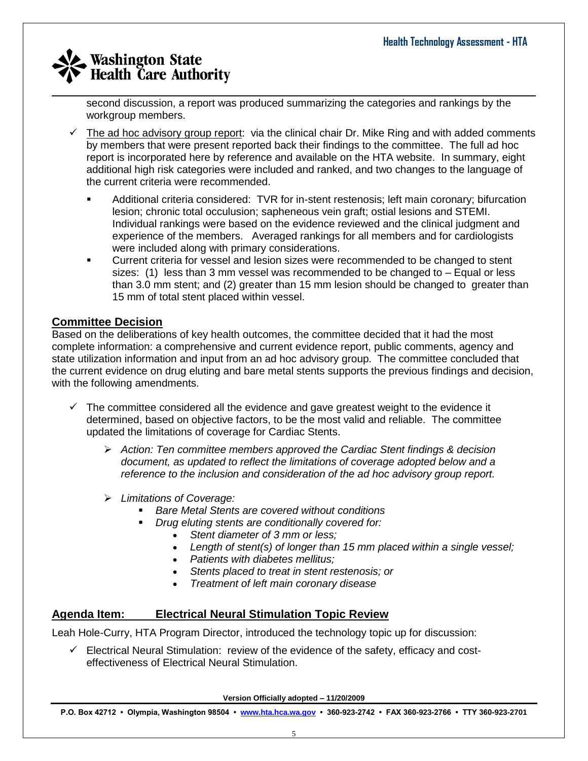second discussion, a report was produced summarizing the categories and rankings by the workgroup members.

- $\checkmark$  The ad hoc advisory group report: via the clinical chair Dr. Mike Ring and with added comments by members that were present reported back their findings to the committee. The full ad hoc report is incorporated here by reference and available on the HTA website. In summary, eight additional high risk categories were included and ranked, and two changes to the language of the current criteria were recommended.
	- Additional criteria considered: TVR for in-stent restenosis; left main coronary; bifurcation lesion; chronic total occulusion; sapheneous vein graft; ostial lesions and STEMI. Individual rankings were based on the evidence reviewed and the clinical judgment and experience of the members. Averaged rankings for all members and for cardiologists were included along with primary considerations.
	- Current criteria for vessel and lesion sizes were recommended to be changed to stent sizes: (1) less than 3 mm vessel was recommended to be changed to – Equal or less than 3.0 mm stent; and (2) greater than 15 mm lesion should be changed to greater than 15 mm of total stent placed within vessel.

## **Committee Decision**

Based on the deliberations of key health outcomes, the committee decided that it had the most complete information: a comprehensive and current evidence report, public comments, agency and state utilization information and input from an ad hoc advisory group. The committee concluded that the current evidence on drug eluting and bare metal stents supports the previous findings and decision, with the following amendments.

- $\checkmark$  The committee considered all the evidence and gave greatest weight to the evidence it determined, based on objective factors, to be the most valid and reliable. The committee updated the limitations of coverage for Cardiac Stents.
	- *Action: Ten committee members approved the Cardiac Stent findings & decision document, as updated to reflect the limitations of coverage adopted below and a reference to the inclusion and consideration of the ad hoc advisory group report.*
	- *Limitations of Coverage:* 
		- *Bare Metal Stents are covered without conditions*
		- *Drug eluting stents are conditionally covered for:*
			- *Stent diameter of 3 mm or less;*
				- *Length of stent(s) of longer than 15 mm placed within a single vessel;*
				- *Patients with diabetes mellitus;*
				- *Stents placed to treat in stent restenosis; or*
				- *Treatment of left main coronary disease*

## **Agenda Item: Electrical Neural Stimulation Topic Review**

Leah Hole-Curry, HTA Program Director, introduced the technology topic up for discussion:

 $\checkmark$  Electrical Neural Stimulation: review of the evidence of the safety, efficacy and costeffectiveness of Electrical Neural Stimulation.

**Version Officially adopted – 11/20/2009**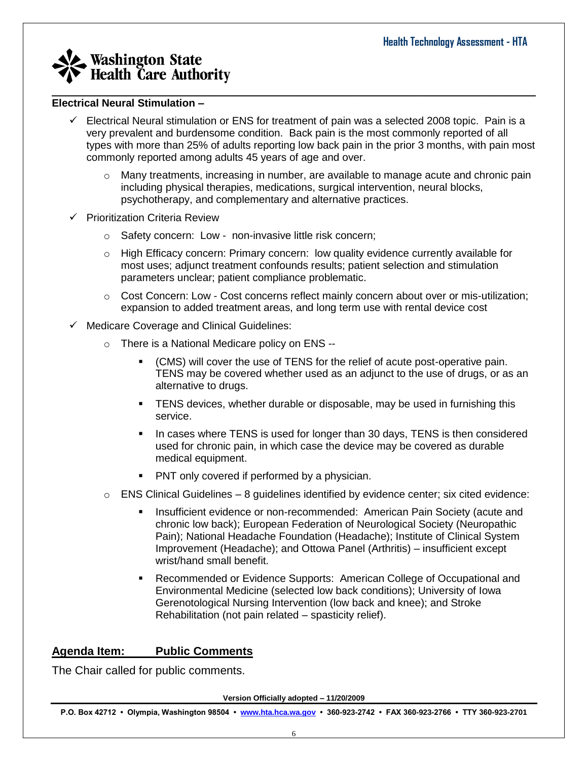#### **Electrical Neural Stimulation –**

 $\checkmark$  Electrical Neural stimulation or ENS for treatment of pain was a selected 2008 topic. Pain is a very prevalent and burdensome condition. Back pain is the most commonly reported of all types with more than 25% of adults reporting low back pain in the prior 3 months, with pain most commonly reported among adults 45 years of age and over.

\_\_\_\_\_\_\_\_\_\_\_\_\_\_\_\_\_\_\_\_\_\_\_\_\_\_\_\_\_\_\_\_\_\_\_\_\_\_\_\_\_\_\_\_\_\_\_\_\_\_\_\_\_\_\_\_\_\_\_\_\_\_\_\_\_\_\_\_\_\_\_\_\_\_\_\_\_\_\_\_\_\_\_\_

- Many treatments, increasing in number, are available to manage acute and chronic pain including physical therapies, medications, surgical intervention, neural blocks, psychotherapy, and complementary and alternative practices.
- $\checkmark$  Prioritization Criteria Review
	- o Safety concern: Low non-invasive little risk concern;
	- o High Efficacy concern: Primary concern: low quality evidence currently available for most uses; adjunct treatment confounds results; patient selection and stimulation parameters unclear; patient compliance problematic.
	- o Cost Concern: Low Cost concerns reflect mainly concern about over or mis-utilization; expansion to added treatment areas, and long term use with rental device cost
- $\checkmark$  Medicare Coverage and Clinical Guidelines:
	- o There is a National Medicare policy on ENS --
		- (CMS) will cover the use of TENS for the relief of acute post-operative pain. TENS may be covered whether used as an adjunct to the use of drugs, or as an alternative to drugs.
		- **TENS** devices, whether durable or disposable, may be used in furnishing this service.
		- In cases where TENS is used for longer than 30 days, TENS is then considered used for chronic pain, in which case the device may be covered as durable medical equipment.
		- PNT only covered if performed by a physician.
	- $\circ$  ENS Clinical Guidelines 8 guidelines identified by evidence center; six cited evidence:
		- Insufficient evidence or non-recommended: American Pain Society (acute and chronic low back); European Federation of Neurological Society (Neuropathic Pain); National Headache Foundation (Headache); Institute of Clinical System Improvement (Headache); and Ottowa Panel (Arthritis) – insufficient except wrist/hand small benefit.
		- Recommended or Evidence Supports: American College of Occupational and Environmental Medicine (selected low back conditions); University of Iowa Gerenotological Nursing Intervention (low back and knee); and Stroke Rehabilitation (not pain related – spasticity relief).

## **Agenda Item: Public Comments**

The Chair called for public comments.

**Version Officially adopted – 11/20/2009**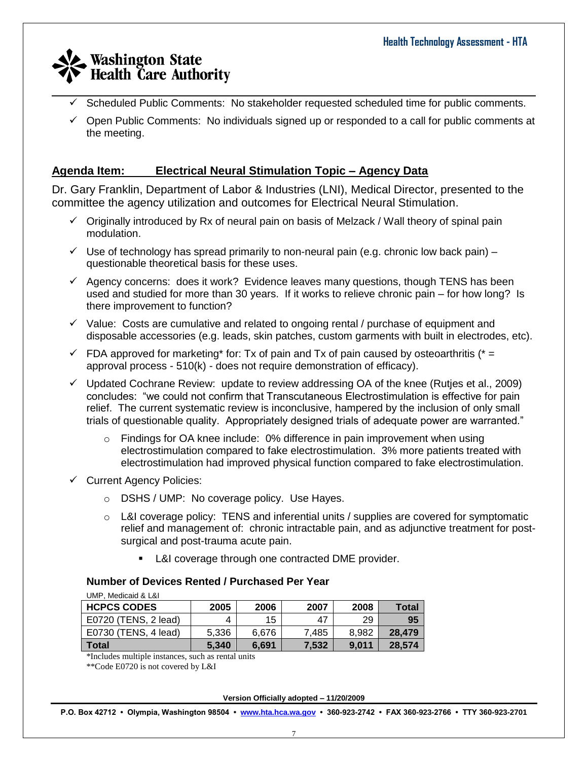- \_\_\_\_\_\_\_\_\_\_\_\_\_\_\_\_\_\_\_\_\_\_\_\_\_\_\_\_\_\_\_\_\_\_\_\_\_\_\_\_\_\_\_\_\_\_\_\_\_\_\_\_\_\_\_\_\_\_\_\_\_\_\_\_\_\_\_\_\_\_\_\_\_\_\_\_\_\_\_\_\_\_\_\_  $\checkmark$  Scheduled Public Comments: No stakeholder requested scheduled time for public comments.
	- $\checkmark$  Open Public Comments: No individuals signed up or responded to a call for public comments at the meeting.

## **Agenda Item: Electrical Neural Stimulation Topic – Agency Data**

Dr. Gary Franklin, Department of Labor & Industries (LNI), Medical Director, presented to the committee the agency utilization and outcomes for Electrical Neural Stimulation.

- $\checkmark$  Originally introduced by Rx of neural pain on basis of Melzack / Wall theory of spinal pain modulation.
- $\checkmark$  Use of technology has spread primarily to non-neural pain (e.g. chronic low back pain) questionable theoretical basis for these uses.
- $\checkmark$  Agency concerns: does it work? Evidence leaves many questions, though TENS has been used and studied for more than 30 years. If it works to relieve chronic pain – for how long? Is there improvement to function?
- $\checkmark$  Value: Costs are cumulative and related to ongoing rental / purchase of equipment and disposable accessories (e.g. leads, skin patches, custom garments with built in electrodes, etc).
- $\checkmark$  FDA approved for marketing<sup>\*</sup> for: Tx of pain and Tx of pain caused by osteoarthritis ( $* =$ approval process - 510(k) - does not require demonstration of efficacy).
- $\checkmark$  Updated Cochrane Review: update to review addressing OA of the knee (Rutjes et al., 2009) concludes: "we could not confirm that Transcutaneous Electrostimulation is effective for pain relief. The current systematic review is inconclusive, hampered by the inclusion of only small trials of questionable quality. Appropriately designed trials of adequate power are warranted."
	- $\circ$  Findings for OA knee include: 0% difference in pain improvement when using electrostimulation compared to fake electrostimulation. 3% more patients treated with electrostimulation had improved physical function compared to fake electrostimulation.
- $\checkmark$  Current Agency Policies:
	- o DSHS / UMP: No coverage policy. Use Hayes.
	- $\circ$  L&I coverage policy: TENS and inferential units / supplies are covered for symptomatic relief and management of: chronic intractable pain, and as adjunctive treatment for postsurgical and post-trauma acute pain.
		- **L&I coverage through one contracted DME provider.**

#### **Number of Devices Rented / Purchased Per Year**

| UMP, Medicaid & L&I  |       |       |       |       |              |  |  |
|----------------------|-------|-------|-------|-------|--------------|--|--|
| <b>HCPCS CODES</b>   | 2005  | 2006  | 2007  | 2008  | <b>Total</b> |  |  |
| E0720 (TENS, 2 lead) | 4     | 15    | 47    | 29    | 95           |  |  |
| E0730 (TENS, 4 lead) | 5,336 | 6.676 | 7.485 | 8.982 | 28.479       |  |  |
| Total                | 5.340 | 6.691 | 7,532 | 9.011 | 28,574       |  |  |

\*Includes multiple instances, such as rental units

\*\*Code E0720 is not covered by L&I

**Version Officially adopted – 11/20/2009**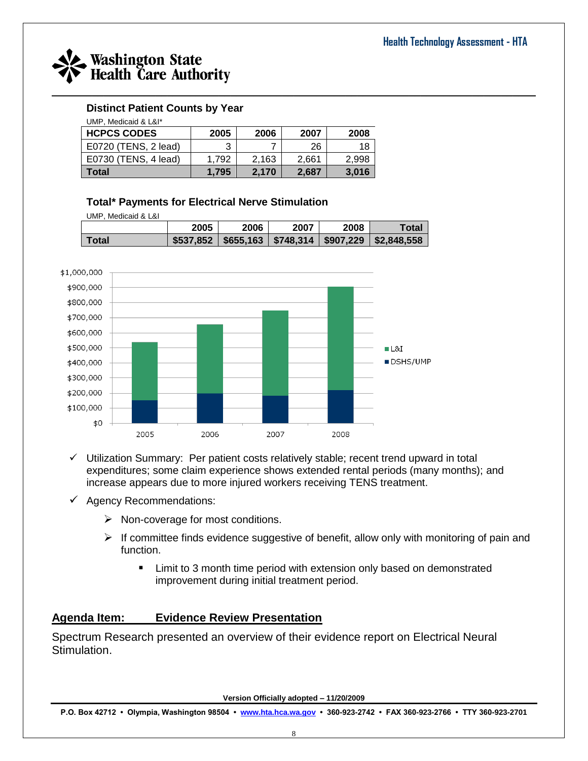

### **Distinct Patient Counts by Year**

| UMP. Medicaid & L&I* |       |       |       |       |  |  |
|----------------------|-------|-------|-------|-------|--|--|
| <b>HCPCS CODES</b>   | 2005  | 2006  | 2007  | 2008  |  |  |
| E0720 (TENS, 2 lead) | 3     |       | 26    | 18    |  |  |
| E0730 (TENS, 4 lead) | 1.792 | 2,163 | 2.661 | 2.998 |  |  |
| <b>Total</b>         | 1.795 | 2,170 | 2.687 | 3,016 |  |  |

### **Total\* Payments for Electrical Nerve Stimulation**

UMP, Medicaid & L&I

|       | 2005 | 2006 | 2007 | 2008 | Total                                                                                                      |
|-------|------|------|------|------|------------------------------------------------------------------------------------------------------------|
| Total |      |      |      |      | $\frac{1}{2537,852}$ $\frac{1}{2655,163}$ $\frac{1}{2748,314}$ $\frac{1}{2907,229}$ $\frac{1}{22,848,558}$ |



- $\checkmark$  Utilization Summary: Per patient costs relatively stable; recent trend upward in total expenditures; some claim experience shows extended rental periods (many months); and increase appears due to more injured workers receiving TENS treatment.
- $\checkmark$  Agency Recommendations:
	- $\triangleright$  Non-coverage for most conditions.
	- $\triangleright$  If committee finds evidence suggestive of benefit, allow only with monitoring of pain and function.
		- **E** Limit to 3 month time period with extension only based on demonstrated improvement during initial treatment period.

## **Agenda Item: Evidence Review Presentation**

Spectrum Research presented an overview of their evidence report on Electrical Neural Stimulation.

**Version Officially adopted – 11/20/2009**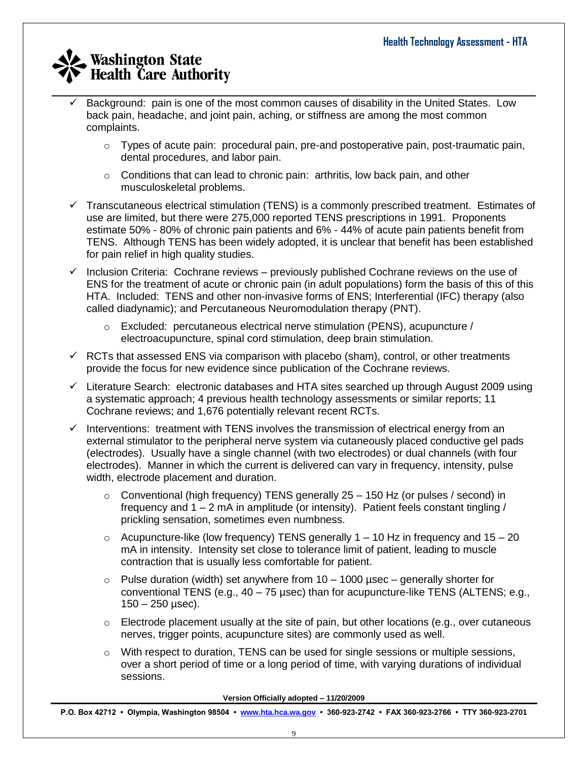- Background: pain is one of the most common causes of disability in the United States. Low back pain, headache, and joint pain, aching, or stiffness are among the most common complaints.
	- $\circ$  Types of acute pain: procedural pain, pre-and postoperative pain, post-traumatic pain, dental procedures, and labor pain.
	- $\circ$  Conditions that can lead to chronic pain: arthritis, low back pain, and other musculoskeletal problems.
- $\checkmark$  Transcutaneous electrical stimulation (TENS) is a commonly prescribed treatment. Estimates of use are limited, but there were 275,000 reported TENS prescriptions in 1991. Proponents estimate 50% - 80% of chronic pain patients and 6% - 44% of acute pain patients benefit from TENS. Although TENS has been widely adopted, it is unclear that benefit has been established for pain relief in high quality studies.
- $\checkmark$  Inclusion Criteria: Cochrane reviews previously published Cochrane reviews on the use of ENS for the treatment of acute or chronic pain (in adult populations) form the basis of this of this HTA. Included: TENS and other non-invasive forms of ENS; Interferential (IFC) therapy (also called diadynamic); and Percutaneous Neuromodulation therapy (PNT).
	- $\circ$  Excluded: percutaneous electrical nerve stimulation (PENS), acupuncture / electroacupuncture, spinal cord stimulation, deep brain stimulation.
- $\checkmark$  RCTs that assessed ENS via comparison with placebo (sham), control, or other treatments provide the focus for new evidence since publication of the Cochrane reviews.
- $\checkmark$  Literature Search: electronic databases and HTA sites searched up through August 2009 using a systematic approach; 4 previous health technology assessments or similar reports; 11 Cochrane reviews; and 1,676 potentially relevant recent RCTs.
- $\checkmark$  Interventions: treatment with TENS involves the transmission of electrical energy from an external stimulator to the peripheral nerve system via cutaneously placed conductive gel pads (electrodes). Usually have a single channel (with two electrodes) or dual channels (with four electrodes). Manner in which the current is delivered can vary in frequency, intensity, pulse width, electrode placement and duration.
	- $\circ$  Conventional (high frequency) TENS generally 25 150 Hz (or pulses / second) in frequency and  $1 - 2$  mA in amplitude (or intensity). Patient feels constant tingling / prickling sensation, sometimes even numbness.
	- $\circ$  Acupuncture-like (low frequency) TENS generally 1 10 Hz in frequency and 15 20 mA in intensity. Intensity set close to tolerance limit of patient, leading to muscle contraction that is usually less comfortable for patient.
	- $\circ$  Pulse duration (width) set anywhere from 10 1000 usec generally shorter for conventional TENS (e.g., 40 – 75 µsec) than for acupuncture-like TENS (ALTENS; e.g.,  $150 - 250$  usec).
	- $\circ$  Electrode placement usually at the site of pain, but other locations (e.g., over cutaneous nerves, trigger points, acupuncture sites) are commonly used as well.
	- $\circ$  With respect to duration, TENS can be used for single sessions or multiple sessions, over a short period of time or a long period of time, with varying durations of individual sessions.

**Version Officially adopted – 11/20/2009**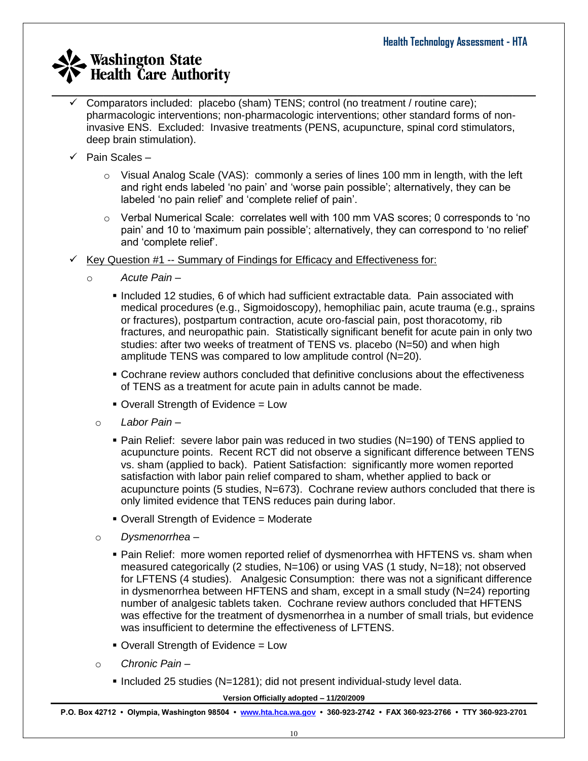- \_\_\_\_\_\_\_\_\_\_\_\_\_\_\_\_\_\_\_\_\_\_\_\_\_\_\_\_\_\_\_\_\_\_\_\_\_\_\_\_\_\_\_\_\_\_\_\_\_\_\_\_\_\_\_\_\_\_\_\_\_\_\_\_\_\_\_\_\_\_\_\_\_\_\_\_\_\_\_\_\_\_\_\_ Comparators included: placebo (sham) TENS; control (no treatment / routine care); pharmacologic interventions; non-pharmacologic interventions; other standard forms of noninvasive ENS. Excluded: Invasive treatments (PENS, acupuncture, spinal cord stimulators, deep brain stimulation).
	- $\checkmark$  Pain Scales
		- $\circ$  Visual Analog Scale (VAS): commonly a series of lines 100 mm in length, with the left and right ends labeled 'no pain' and 'worse pain possible'; alternatively, they can be labeled 'no pain relief' and 'complete relief of pain'.
		- $\circ$  Verbal Numerical Scale: correlates well with 100 mm VAS scores; 0 corresponds to 'no pain' and 10 to 'maximum pain possible'; alternatively, they can correspond to 'no relief' and 'complete relief'.
	- Key Question #1 -- Summary of Findings for Efficacy and Effectiveness for:
		- o *Acute Pain –*
			- **Included 12 studies, 6 of which had sufficient extractable data. Pain associated with** medical procedures (e.g., Sigmoidoscopy), hemophiliac pain, acute trauma (e.g., sprains or fractures), postpartum contraction, acute oro-fascial pain, post thoracotomy, rib fractures, and neuropathic pain. Statistically significant benefit for acute pain in only two studies: after two weeks of treatment of TENS vs. placebo (N=50) and when high amplitude TENS was compared to low amplitude control (N=20).
			- Cochrane review authors concluded that definitive conclusions about the effectiveness of TENS as a treatment for acute pain in adults cannot be made.
			- Overall Strength of Evidence = Low
			- o *Labor Pain –*
				- Pain Relief: severe labor pain was reduced in two studies (N=190) of TENS applied to acupuncture points. Recent RCT did not observe a significant difference between TENS vs. sham (applied to back). Patient Satisfaction: significantly more women reported satisfaction with labor pain relief compared to sham, whether applied to back or acupuncture points (5 studies, N=673). Cochrane review authors concluded that there is only limited evidence that TENS reduces pain during labor.
				- Overall Strength of Evidence = Moderate
			- o *Dysmenorrhea –*
				- Pain Relief: more women reported relief of dysmenorrhea with HFTENS vs. sham when measured categorically (2 studies, N=106) or using VAS (1 study, N=18); not observed for LFTENS (4 studies). Analgesic Consumption: there was not a significant difference in dysmenorrhea between HFTENS and sham, except in a small study (N=24) reporting number of analgesic tablets taken. Cochrane review authors concluded that HFTENS was effective for the treatment of dysmenorrhea in a number of small trials, but evidence was insufficient to determine the effectiveness of LFTENS.
				- Overall Strength of Evidence = Low
			- o *Chronic Pain –*
				- Included 25 studies (N=1281); did not present individual-study level data.

**Version Officially adopted – 11/20/2009**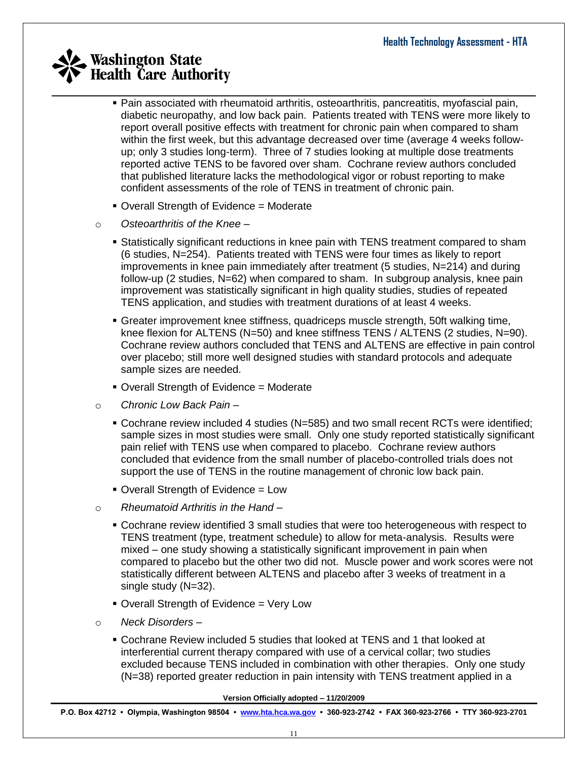- Pain associated with rheumatoid arthritis, osteoarthritis, pancreatitis, myofascial pain, diabetic neuropathy, and low back pain. Patients treated with TENS were more likely to report overall positive effects with treatment for chronic pain when compared to sham within the first week, but this advantage decreased over time (average 4 weeks followup; only 3 studies long-term). Three of 7 studies looking at multiple dose treatments reported active TENS to be favored over sham. Cochrane review authors concluded that published literature lacks the methodological vigor or robust reporting to make confident assessments of the role of TENS in treatment of chronic pain.
- Overall Strength of Evidence = Moderate
- o *Osteoarthritis of the Knee –*
	- Statistically significant reductions in knee pain with TENS treatment compared to sham (6 studies, N=254). Patients treated with TENS were four times as likely to report improvements in knee pain immediately after treatment (5 studies, N=214) and during follow-up (2 studies, N=62) when compared to sham. In subgroup analysis, knee pain improvement was statistically significant in high quality studies, studies of repeated TENS application, and studies with treatment durations of at least 4 weeks.
	- Greater improvement knee stiffness, quadriceps muscle strength, 50ft walking time, knee flexion for ALTENS (N=50) and knee stiffness TENS / ALTENS (2 studies, N=90). Cochrane review authors concluded that TENS and ALTENS are effective in pain control over placebo; still more well designed studies with standard protocols and adequate sample sizes are needed.
	- Overall Strength of Evidence = Moderate
- o *Chronic Low Back Pain –*
	- Cochrane review included 4 studies (N=585) and two small recent RCTs were identified; sample sizes in most studies were small. Only one study reported statistically significant pain relief with TENS use when compared to placebo. Cochrane review authors concluded that evidence from the small number of placebo-controlled trials does not support the use of TENS in the routine management of chronic low back pain.
	- Overall Strength of Evidence = Low
- o *Rheumatoid Arthritis in the Hand –*
	- Cochrane review identified 3 small studies that were too heterogeneous with respect to TENS treatment (type, treatment schedule) to allow for meta-analysis. Results were mixed – one study showing a statistically significant improvement in pain when compared to placebo but the other two did not. Muscle power and work scores were not statistically different between ALTENS and placebo after 3 weeks of treatment in a single study (N=32).
	- Overall Strength of Evidence = Very Low
- o *Neck Disorders –*
	- Cochrane Review included 5 studies that looked at TENS and 1 that looked at interferential current therapy compared with use of a cervical collar; two studies excluded because TENS included in combination with other therapies. Only one study (N=38) reported greater reduction in pain intensity with TENS treatment applied in a

**Version Officially adopted – 11/20/2009**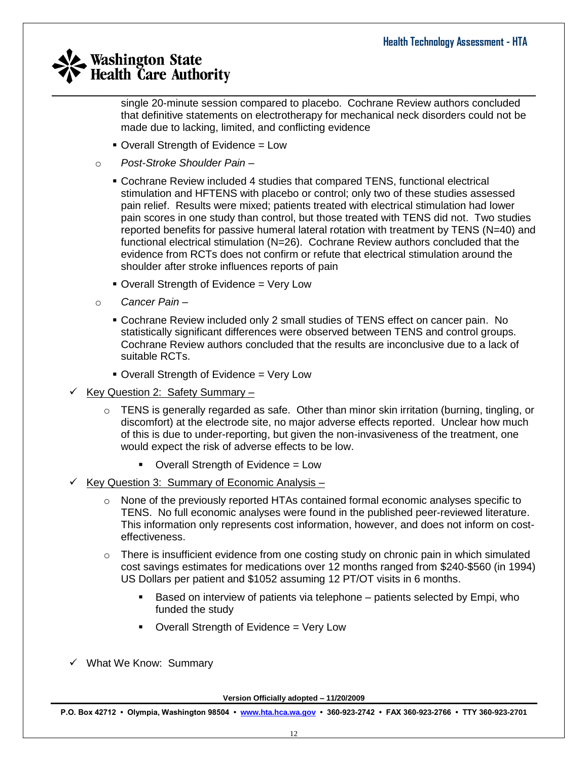single 20-minute session compared to placebo. Cochrane Review authors concluded that definitive statements on electrotherapy for mechanical neck disorders could not be made due to lacking, limited, and conflicting evidence

- Overall Strength of Evidence = Low
- o *Post-Stroke Shoulder Pain –*
	- Cochrane Review included 4 studies that compared TENS, functional electrical stimulation and HFTENS with placebo or control; only two of these studies assessed pain relief. Results were mixed; patients treated with electrical stimulation had lower pain scores in one study than control, but those treated with TENS did not. Two studies reported benefits for passive humeral lateral rotation with treatment by TENS (N=40) and functional electrical stimulation (N=26). Cochrane Review authors concluded that the evidence from RCTs does not confirm or refute that electrical stimulation around the shoulder after stroke influences reports of pain
	- Overall Strength of Evidence = Very Low
- o *Cancer Pain –*
	- Cochrane Review included only 2 small studies of TENS effect on cancer pain. No statistically significant differences were observed between TENS and control groups. Cochrane Review authors concluded that the results are inconclusive due to a lack of suitable RCTs.
	- **Overall Strength of Evidence = Very Low**
- Key Question 2: Safety Summary -
	- $\circ$  TENS is generally regarded as safe. Other than minor skin irritation (burning, tingling, or discomfort) at the electrode site, no major adverse effects reported. Unclear how much of this is due to under-reporting, but given the non-invasiveness of the treatment, one would expect the risk of adverse effects to be low.
		- Overall Strength of Evidence = Low
- $\checkmark$  Key Question 3: Summary of Economic Analysis
	- $\circ$  None of the previously reported HTAs contained formal economic analyses specific to TENS. No full economic analyses were found in the published peer-reviewed literature. This information only represents cost information, however, and does not inform on costeffectiveness.
	- $\circ$  There is insufficient evidence from one costing study on chronic pain in which simulated cost savings estimates for medications over 12 months ranged from \$240-\$560 (in 1994) US Dollars per patient and \$1052 assuming 12 PT/OT visits in 6 months.
		- **Based on interview of patients via telephone** patients selected by Empi, who funded the study
		- Overall Strength of Evidence = Very Low
- $\checkmark$  What We Know: Summary

**Version Officially adopted – 11/20/2009**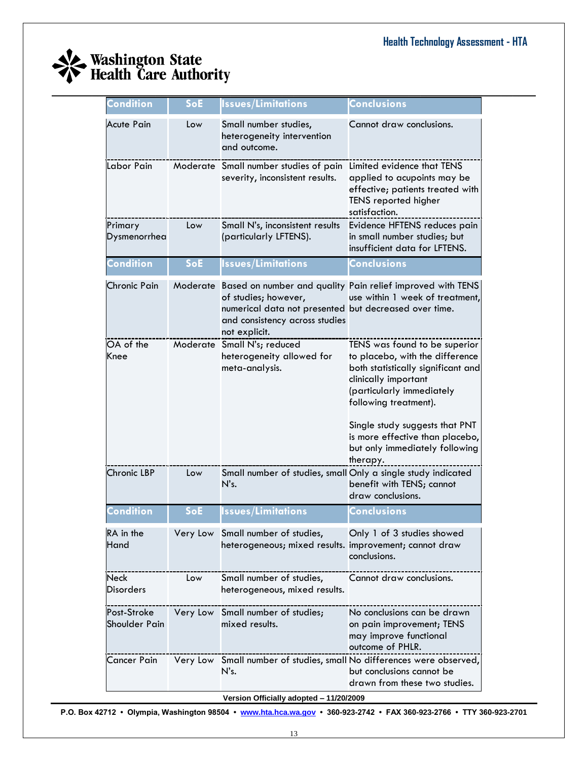

| Condition                    | SoE      | lssues/Limitations                                                                                                               | Conclusions                                                                                                                                                                                                                                                                                             |
|------------------------------|----------|----------------------------------------------------------------------------------------------------------------------------------|---------------------------------------------------------------------------------------------------------------------------------------------------------------------------------------------------------------------------------------------------------------------------------------------------------|
| <b>Acute Pain</b>            | Low      | Small number studies,<br>heterogeneity intervention<br>and outcome.                                                              | Cannot draw conclusions.                                                                                                                                                                                                                                                                                |
| Labor Pain                   |          | Moderate Small number studies of pain<br>severity, inconsistent results.                                                         | Limited evidence that TENS<br>applied to acupoints may be<br>effective; patients treated with<br>TENS reported higher<br>satisfaction.                                                                                                                                                                  |
| Primary<br>Dysmenorrhea      | Low      | Small N's, inconsistent results<br>(particularly LFTENS).                                                                        | Evidence HFTENS reduces pain<br>in small number studies; but<br>insufficient data for LFTENS.                                                                                                                                                                                                           |
| <b>Condition</b>             | SoE      | <b>Issues/Limitations</b>                                                                                                        | <b>Conclusions</b>                                                                                                                                                                                                                                                                                      |
| <b>Chronic Pain</b>          |          | of studies; however,<br>numerical data not presented but decreased over time.<br>and consistency across studies<br>not explicit. | Moderate Based on number and quality Pain relief improved with TENS<br>use within 1 week of treatment,                                                                                                                                                                                                  |
| OA of the<br>Knee            |          | Moderate Small N's; reduced<br>heterogeneity allowed for<br>meta-analysis.                                                       | TENS was found to be superior<br>to placebo, with the difference<br>both statistically significant and<br>clinically important<br>(particularly immediately<br>following treatment).<br>Single study suggests that PNT<br>is more effective than placebo,<br>but only immediately following<br>therapy. |
| Chronic LBP                  | Low      | Small number of studies, small Only a single study indicated<br>N's.                                                             | benefit with TENS; cannot<br>draw conclusions.                                                                                                                                                                                                                                                          |
| Condition                    | SoE      | <b>Issues/Limitations</b>                                                                                                        | <b>Conclusions</b>                                                                                                                                                                                                                                                                                      |
| RA in the<br>Hand            | Very Low | Small number of studies,<br>heterogeneous; mixed results. improvement; cannot draw                                               | Only 1 of 3 studies showed<br>conclusions.                                                                                                                                                                                                                                                              |
| Neck<br>Disorders            | Low      | Small number of studies,<br>heterogeneous, mixed results.                                                                        | Cannot draw conclusions.                                                                                                                                                                                                                                                                                |
| Post-Stroke<br>Shoulder Pain | Very Low | Small number of studies;<br>mixed results.                                                                                       | No conclusions can be drawn<br>on pain improvement; TENS<br>may improve functional<br>outcome of PHLR.                                                                                                                                                                                                  |
| Cancer Pain                  |          | N's.                                                                                                                             | Very Low Small number of studies, small No differences were observed,<br>but conclusions cannot be<br>drawn from these two studies.                                                                                                                                                                     |
|                              |          | Version Officially adopted - 11/20/2009                                                                                          |                                                                                                                                                                                                                                                                                                         |

\_\_\_\_\_\_\_\_\_\_\_\_\_\_\_\_\_\_\_\_\_\_\_\_\_\_\_\_\_\_\_\_\_\_\_\_\_\_\_\_\_\_\_\_\_\_\_\_\_\_\_\_\_\_\_\_\_\_\_\_\_\_\_\_\_\_\_\_\_\_\_\_\_\_\_\_\_\_\_\_\_\_\_\_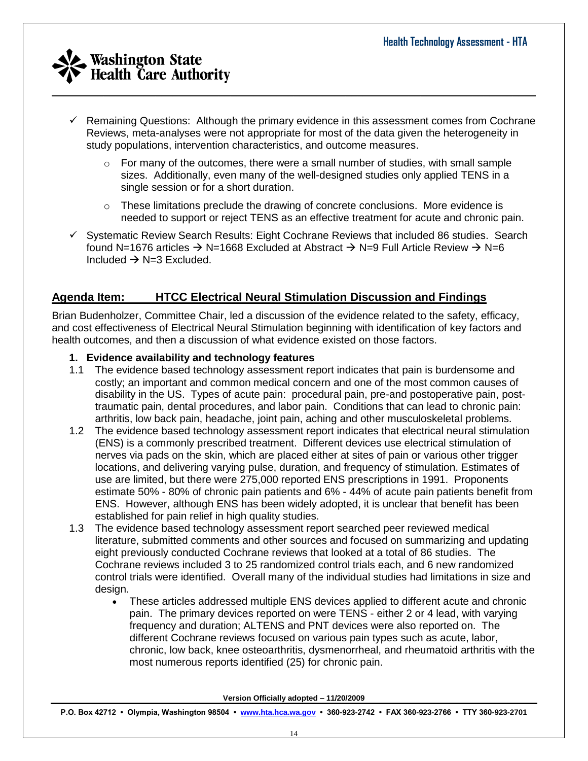

- $\checkmark$  Remaining Questions: Although the primary evidence in this assessment comes from Cochrane Reviews, meta-analyses were not appropriate for most of the data given the heterogeneity in study populations, intervention characteristics, and outcome measures.
	- $\circ$  For many of the outcomes, there were a small number of studies, with small sample sizes. Additionally, even many of the well-designed studies only applied TENS in a single session or for a short duration.
	- $\circ$  These limitations preclude the drawing of concrete conclusions. More evidence is needed to support or reject TENS as an effective treatment for acute and chronic pain.
- $\checkmark$  Systematic Review Search Results: Eight Cochrane Reviews that included 86 studies. Search found N=1676 articles  $\rightarrow$  N=1668 Excluded at Abstract  $\rightarrow$  N=9 Full Article Review  $\rightarrow$  N=6 Included  $\rightarrow$  N=3 Excluded.

## **Agenda Item: HTCC Electrical Neural Stimulation Discussion and Findings**

Brian Budenholzer, Committee Chair, led a discussion of the evidence related to the safety, efficacy, and cost effectiveness of Electrical Neural Stimulation beginning with identification of key factors and health outcomes, and then a discussion of what evidence existed on those factors.

#### **1. Evidence availability and technology features**

- 1.1 The evidence based technology assessment report indicates that pain is burdensome and costly; an important and common medical concern and one of the most common causes of disability in the US. Types of acute pain: procedural pain, pre-and postoperative pain, posttraumatic pain, dental procedures, and labor pain. Conditions that can lead to chronic pain: arthritis, low back pain, headache, joint pain, aching and other musculoskeletal problems.
- 1.2 The evidence based technology assessment report indicates that electrical neural stimulation (ENS) is a commonly prescribed treatment. Different devices use electrical stimulation of nerves via pads on the skin, which are placed either at sites of pain or various other trigger locations, and delivering varying pulse, duration, and frequency of stimulation. Estimates of use are limited, but there were 275,000 reported ENS prescriptions in 1991. Proponents estimate 50% - 80% of chronic pain patients and 6% - 44% of acute pain patients benefit from ENS. However, although ENS has been widely adopted, it is unclear that benefit has been established for pain relief in high quality studies.
- 1.3 The evidence based technology assessment report searched peer reviewed medical literature, submitted comments and other sources and focused on summarizing and updating eight previously conducted Cochrane reviews that looked at a total of 86 studies. The Cochrane reviews included 3 to 25 randomized control trials each, and 6 new randomized control trials were identified. Overall many of the individual studies had limitations in size and design.
	- These articles addressed multiple ENS devices applied to different acute and chronic pain. The primary devices reported on were TENS - either 2 or 4 lead, with varying frequency and duration; ALTENS and PNT devices were also reported on. The different Cochrane reviews focused on various pain types such as acute, labor, chronic, low back, knee osteoarthritis, dysmenorrheal, and rheumatoid arthritis with the most numerous reports identified (25) for chronic pain.

**Version Officially adopted – 11/20/2009**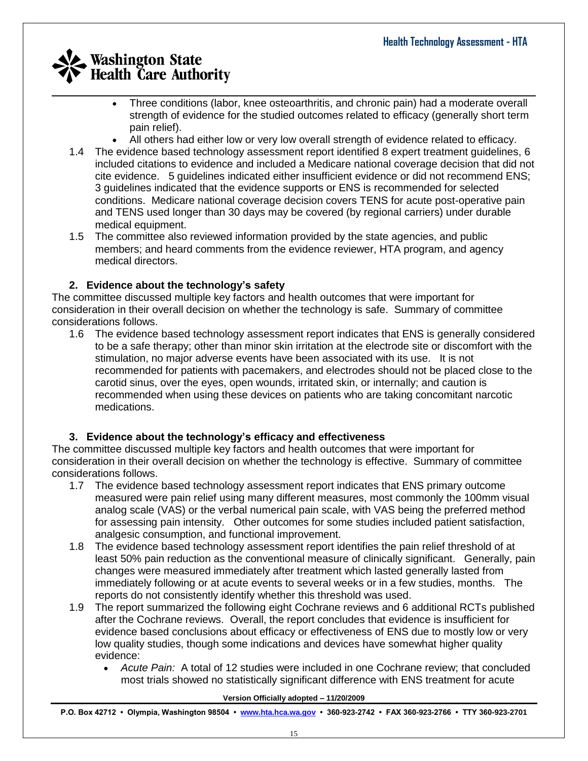- Three conditions (labor, knee osteoarthritis, and chronic pain) had a moderate overall strength of evidence for the studied outcomes related to efficacy (generally short term pain relief).
- All others had either low or very low overall strength of evidence related to efficacy.
- 1.4 The evidence based technology assessment report identified 8 expert treatment guidelines, 6 included citations to evidence and included a Medicare national coverage decision that did not cite evidence. 5 guidelines indicated either insufficient evidence or did not recommend ENS; 3 guidelines indicated that the evidence supports or ENS is recommended for selected conditions. Medicare national coverage decision covers TENS for acute post-operative pain and TENS used longer than 30 days may be covered (by regional carriers) under durable medical equipment.
- 1.5 The committee also reviewed information provided by the state agencies, and public members; and heard comments from the evidence reviewer, HTA program, and agency medical directors.

## **2. Evidence about the technology's safety**

The committee discussed multiple key factors and health outcomes that were important for consideration in their overall decision on whether the technology is safe. Summary of committee considerations follows.

1.6 The evidence based technology assessment report indicates that ENS is generally considered to be a safe therapy; other than minor skin irritation at the electrode site or discomfort with the stimulation, no major adverse events have been associated with its use. It is not recommended for patients with pacemakers, and electrodes should not be placed close to the carotid sinus, over the eyes, open wounds, irritated skin, or internally; and caution is recommended when using these devices on patients who are taking concomitant narcotic medications.

## **3. Evidence about the technology's efficacy and effectiveness**

The committee discussed multiple key factors and health outcomes that were important for consideration in their overall decision on whether the technology is effective. Summary of committee considerations follows.

- 1.7 The evidence based technology assessment report indicates that ENS primary outcome measured were pain relief using many different measures, most commonly the 100mm visual analog scale (VAS) or the verbal numerical pain scale, with VAS being the preferred method for assessing pain intensity. Other outcomes for some studies included patient satisfaction, analgesic consumption, and functional improvement.
- 1.8 The evidence based technology assessment report identifies the pain relief threshold of at least 50% pain reduction as the conventional measure of clinically significant. Generally, pain changes were measured immediately after treatment which lasted generally lasted from immediately following or at acute events to several weeks or in a few studies, months. The reports do not consistently identify whether this threshold was used.
- 1.9 The report summarized the following eight Cochrane reviews and 6 additional RCTs published after the Cochrane reviews. Overall, the report concludes that evidence is insufficient for evidence based conclusions about efficacy or effectiveness of ENS due to mostly low or very low quality studies, though some indications and devices have somewhat higher quality evidence:
	- *Acute Pain:* A total of 12 studies were included in one Cochrane review; that concluded most trials showed no statistically significant difference with ENS treatment for acute

#### **Version Officially adopted – 11/20/2009**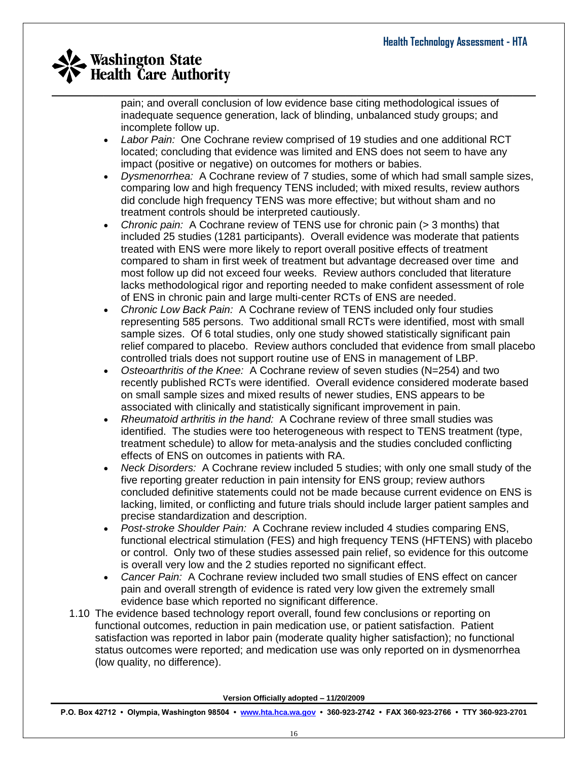pain; and overall conclusion of low evidence base citing methodological issues of inadequate sequence generation, lack of blinding, unbalanced study groups; and incomplete follow up.

- *Labor Pain:* One Cochrane review comprised of 19 studies and one additional RCT located; concluding that evidence was limited and ENS does not seem to have any impact (positive or negative) on outcomes for mothers or babies.
- *Dysmenorrhea:* A Cochrane review of 7 studies, some of which had small sample sizes, comparing low and high frequency TENS included; with mixed results, review authors did conclude high frequency TENS was more effective; but without sham and no treatment controls should be interpreted cautiously.
- *Chronic pain:* A Cochrane review of TENS use for chronic pain (> 3 months) that included 25 studies (1281 participants). Overall evidence was moderate that patients treated with ENS were more likely to report overall positive effects of treatment compared to sham in first week of treatment but advantage decreased over time and most follow up did not exceed four weeks. Review authors concluded that literature lacks methodological rigor and reporting needed to make confident assessment of role of ENS in chronic pain and large multi-center RCTs of ENS are needed.
- *Chronic Low Back Pain:* A Cochrane review of TENS included only four studies representing 585 persons. Two additional small RCTs were identified, most with small sample sizes. Of 6 total studies, only one study showed statistically significant pain relief compared to placebo. Review authors concluded that evidence from small placebo controlled trials does not support routine use of ENS in management of LBP.
- *Osteoarthritis of the Knee:* A Cochrane review of seven studies (N=254) and two recently published RCTs were identified. Overall evidence considered moderate based on small sample sizes and mixed results of newer studies, ENS appears to be associated with clinically and statistically significant improvement in pain.
- *Rheumatoid arthritis in the hand:* A Cochrane review of three small studies was identified. The studies were too heterogeneous with respect to TENS treatment (type, treatment schedule) to allow for meta-analysis and the studies concluded conflicting effects of ENS on outcomes in patients with RA.
- *Neck Disorders:* A Cochrane review included 5 studies; with only one small study of the five reporting greater reduction in pain intensity for ENS group; review authors concluded definitive statements could not be made because current evidence on ENS is lacking, limited, or conflicting and future trials should include larger patient samples and precise standardization and description.
- *Post-stroke Shoulder Pain:* A Cochrane review included 4 studies comparing ENS, functional electrical stimulation (FES) and high frequency TENS (HFTENS) with placebo or control. Only two of these studies assessed pain relief, so evidence for this outcome is overall very low and the 2 studies reported no significant effect.
- *Cancer Pain:* A Cochrane review included two small studies of ENS effect on cancer pain and overall strength of evidence is rated very low given the extremely small evidence base which reported no significant difference.
- 1.10 The evidence based technology report overall, found few conclusions or reporting on functional outcomes, reduction in pain medication use, or patient satisfaction. Patient satisfaction was reported in labor pain (moderate quality higher satisfaction); no functional status outcomes were reported; and medication use was only reported on in dysmenorrhea (low quality, no difference).

**Version Officially adopted – 11/20/2009**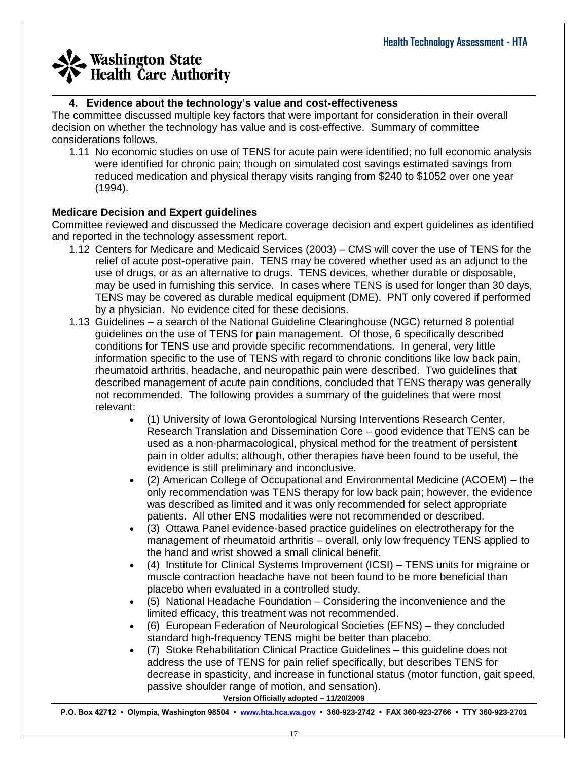#### \_\_\_\_\_\_\_\_\_\_\_\_\_\_\_\_\_\_\_\_\_\_\_\_\_\_\_\_\_\_\_\_\_\_\_\_\_\_\_\_\_\_\_\_\_\_\_\_\_\_\_\_\_\_\_\_\_\_\_\_\_\_\_\_\_\_\_\_\_\_\_\_\_\_\_\_\_\_\_\_\_\_\_\_ **4. Evidence about the technology's value and cost-effectiveness**

The committee discussed multiple key factors that were important for consideration in their overall decision on whether the technology has value and is cost-effective. Summary of committee considerations follows.

1.11 No economic studies on use of TENS for acute pain were identified; no full economic analysis were identified for chronic pain; though on simulated cost savings estimated savings from reduced medication and physical therapy visits ranging from \$240 to \$1052 over one year (1994).

### **Medicare Decision and Expert guidelines**

Committee reviewed and discussed the Medicare coverage decision and expert guidelines as identified and reported in the technology assessment report.

- 1.12 Centers for Medicare and Medicaid Services (2003) CMS will cover the use of TENS for the relief of acute post-operative pain. TENS may be covered whether used as an adjunct to the use of drugs, or as an alternative to drugs. TENS devices, whether durable or disposable, may be used in furnishing this service. In cases where TENS is used for longer than 30 days, TENS may be covered as durable medical equipment (DME). PNT only covered if performed by a physician. No evidence cited for these decisions.
- 1.13 Guidelines a search of the National Guideline Clearinghouse (NGC) returned 8 potential guidelines on the use of TENS for pain management. Of those, 6 specifically described conditions for TENS use and provide specific recommendations. In general, very little information specific to the use of TENS with regard to chronic conditions like low back pain, rheumatoid arthritis, headache, and neuropathic pain were described. Two guidelines that described management of acute pain conditions, concluded that TENS therapy was generally not recommended. The following provides a summary of the guidelines that were most relevant:
	- (1) University of Iowa Gerontological Nursing Interventions Research Center, Research Translation and Dissemination Core – good evidence that TENS can be used as a non-pharmacological, physical method for the treatment of persistent pain in older adults; although, other therapies have been found to be useful, the evidence is still preliminary and inconclusive.
	- (2) American College of Occupational and Environmental Medicine (ACOEM) the only recommendation was TENS therapy for low back pain; however, the evidence was described as limited and it was only recommended for select appropriate patients. All other ENS modalities were not recommended or described.
	- (3) Ottawa Panel evidence-based practice guidelines on electrotherapy for the management of rheumatoid arthritis – overall, only low frequency TENS applied to the hand and wrist showed a small clinical benefit.
	- (4) Institute for Clinical Systems Improvement (ICSI) TENS units for migraine or muscle contraction headache have not been found to be more beneficial than placebo when evaluated in a controlled study.
	- (5) National Headache Foundation Considering the inconvenience and the limited efficacy, this treatment was not recommended.
	- (6) European Federation of Neurological Societies (EFNS) they concluded standard high-frequency TENS might be better than placebo.
	- (7) Stoke Rehabilitation Clinical Practice Guidelines this guideline does not address the use of TENS for pain relief specifically, but describes TENS for decrease in spasticity, and increase in functional status (motor function, gait speed, passive shoulder range of motion, and sensation).

**Version Officially adopted – 11/20/2009**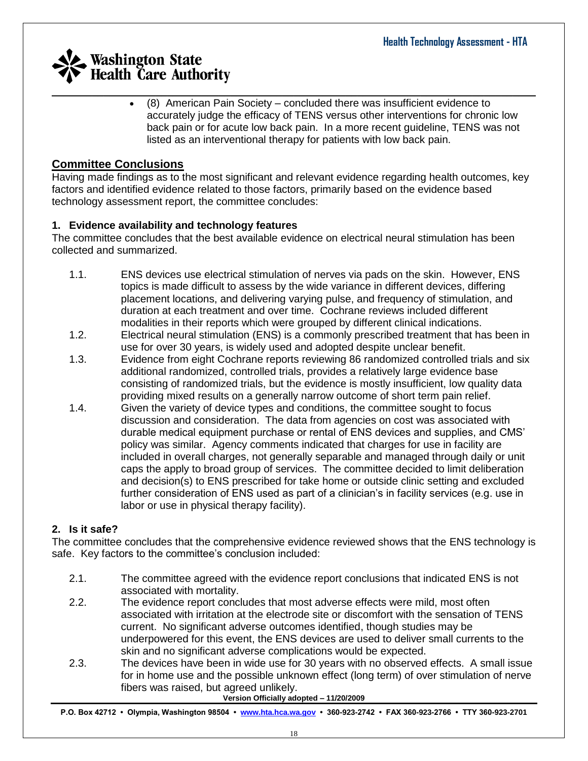(8) American Pain Society – concluded there was insufficient evidence to accurately judge the efficacy of TENS versus other interventions for chronic low back pain or for acute low back pain. In a more recent guideline, TENS was not listed as an interventional therapy for patients with low back pain.

## **Committee Conclusions**

Having made findings as to the most significant and relevant evidence regarding health outcomes, key factors and identified evidence related to those factors, primarily based on the evidence based technology assessment report, the committee concludes:

## **1. Evidence availability and technology features**

The committee concludes that the best available evidence on electrical neural stimulation has been collected and summarized.

- 1.1. ENS devices use electrical stimulation of nerves via pads on the skin. However, ENS topics is made difficult to assess by the wide variance in different devices, differing placement locations, and delivering varying pulse, and frequency of stimulation, and duration at each treatment and over time. Cochrane reviews included different modalities in their reports which were grouped by different clinical indications.
- 1.2. Electrical neural stimulation (ENS) is a commonly prescribed treatment that has been in use for over 30 years, is widely used and adopted despite unclear benefit.
- 1.3. Evidence from eight Cochrane reports reviewing 86 randomized controlled trials and six additional randomized, controlled trials, provides a relatively large evidence base consisting of randomized trials, but the evidence is mostly insufficient, low quality data providing mixed results on a generally narrow outcome of short term pain relief.
- 1.4. Given the variety of device types and conditions, the committee sought to focus discussion and consideration. The data from agencies on cost was associated with durable medical equipment purchase or rental of ENS devices and supplies, and CMS' policy was similar. Agency comments indicated that charges for use in facility are included in overall charges, not generally separable and managed through daily or unit caps the apply to broad group of services. The committee decided to limit deliberation and decision(s) to ENS prescribed for take home or outside clinic setting and excluded further consideration of ENS used as part of a clinician's in facility services (e.g. use in labor or use in physical therapy facility).

## **2. Is it safe?**

The committee concludes that the comprehensive evidence reviewed shows that the ENS technology is safe. Key factors to the committee's conclusion included:

- 2.1. The committee agreed with the evidence report conclusions that indicated ENS is not associated with mortality.
- 2.2. The evidence report concludes that most adverse effects were mild, most often associated with irritation at the electrode site or discomfort with the sensation of TENS current. No significant adverse outcomes identified, though studies may be underpowered for this event, the ENS devices are used to deliver small currents to the skin and no significant adverse complications would be expected.
- 2.3. The devices have been in wide use for 30 years with no observed effects. A small issue for in home use and the possible unknown effect (long term) of over stimulation of nerve fibers was raised, but agreed unlikely.

**Version Officially adopted – 11/20/2009**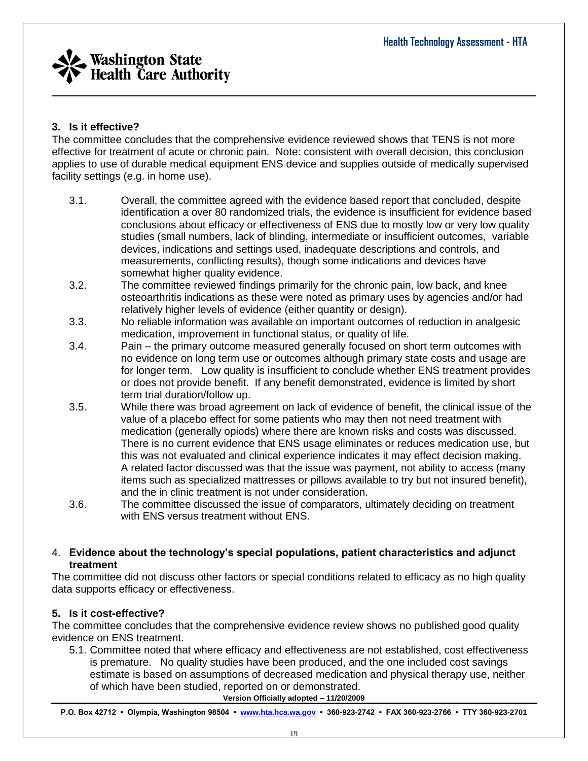

## **3. Is it effective?**

The committee concludes that the comprehensive evidence reviewed shows that TENS is not more effective for treatment of acute or chronic pain. Note: consistent with overall decision, this conclusion applies to use of durable medical equipment ENS device and supplies outside of medically supervised facility settings (e.g. in home use).

- 3.1. Overall, the committee agreed with the evidence based report that concluded, despite identification a over 80 randomized trials, the evidence is insufficient for evidence based conclusions about efficacy or effectiveness of ENS due to mostly low or very low quality studies (small numbers, lack of blinding, intermediate or insufficient outcomes, variable devices, indications and settings used, inadequate descriptions and controls, and measurements, conflicting results), though some indications and devices have somewhat higher quality evidence.
- 3.2. The committee reviewed findings primarily for the chronic pain, low back, and knee osteoarthritis indications as these were noted as primary uses by agencies and/or had relatively higher levels of evidence (either quantity or design).
- 3.3. No reliable information was available on important outcomes of reduction in analgesic medication, improvement in functional status, or quality of life.
- 3.4. Pain the primary outcome measured generally focused on short term outcomes with no evidence on long term use or outcomes although primary state costs and usage are for longer term. Low quality is insufficient to conclude whether ENS treatment provides or does not provide benefit. If any benefit demonstrated, evidence is limited by short term trial duration/follow up.
- 3.5. While there was broad agreement on lack of evidence of benefit, the clinical issue of the value of a placebo effect for some patients who may then not need treatment with medication (generally opiods) where there are known risks and costs was discussed. There is no current evidence that ENS usage eliminates or reduces medication use, but this was not evaluated and clinical experience indicates it may effect decision making. A related factor discussed was that the issue was payment, not ability to access (many items such as specialized mattresses or pillows available to try but not insured benefit), and the in clinic treatment is not under consideration.
- 3.6. The committee discussed the issue of comparators, ultimately deciding on treatment with ENS versus treatment without ENS.

#### 4. **Evidence about the technology's special populations, patient characteristics and adjunct treatment**

The committee did not discuss other factors or special conditions related to efficacy as no high quality data supports efficacy or effectiveness.

## **5. Is it cost-effective?**

The committee concludes that the comprehensive evidence review shows no published good quality evidence on ENS treatment.

5.1. Committee noted that where efficacy and effectiveness are not established, cost effectiveness is premature. No quality studies have been produced, and the one included cost savings estimate is based on assumptions of decreased medication and physical therapy use, neither of which have been studied, reported on or demonstrated.

**Version Officially adopted – 11/20/2009**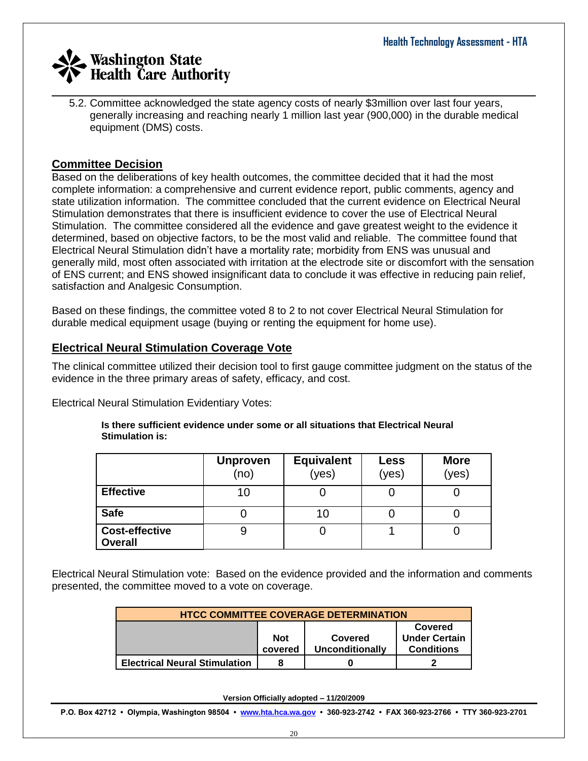\_\_\_\_\_\_\_\_\_\_\_\_\_\_\_\_\_\_\_\_\_\_\_\_\_\_\_\_\_\_\_\_\_\_\_\_\_\_\_\_\_\_\_\_\_\_\_\_\_\_\_\_\_\_\_\_\_\_\_\_\_\_\_\_\_\_\_\_\_\_\_\_\_\_\_\_\_\_\_\_\_\_\_\_ 5.2. Committee acknowledged the state agency costs of nearly \$3million over last four years, generally increasing and reaching nearly 1 million last year (900,000) in the durable medical equipment (DMS) costs.

## **Committee Decision**

Based on the deliberations of key health outcomes, the committee decided that it had the most complete information: a comprehensive and current evidence report, public comments, agency and state utilization information. The committee concluded that the current evidence on Electrical Neural Stimulation demonstrates that there is insufficient evidence to cover the use of Electrical Neural Stimulation. The committee considered all the evidence and gave greatest weight to the evidence it determined, based on objective factors, to be the most valid and reliable. The committee found that Electrical Neural Stimulation didn't have a mortality rate; morbidity from ENS was unusual and generally mild, most often associated with irritation at the electrode site or discomfort with the sensation of ENS current; and ENS showed insignificant data to conclude it was effective in reducing pain relief, satisfaction and Analgesic Consumption.

Based on these findings, the committee voted 8 to 2 to not cover Electrical Neural Stimulation for durable medical equipment usage (buying or renting the equipment for home use).

## **Electrical Neural Stimulation Coverage Vote**

The clinical committee utilized their decision tool to first gauge committee judgment on the status of the evidence in the three primary areas of safety, efficacy, and cost.

Electrical Neural Stimulation Evidentiary Votes:

|                                         | <b>Unproven</b><br>(no) | <b>Equivalent</b><br>(yes) | <b>Less</b><br>(yes) | <b>More</b><br>(yes) |
|-----------------------------------------|-------------------------|----------------------------|----------------------|----------------------|
| <b>Effective</b>                        | 10                      |                            |                      |                      |
| <b>Safe</b>                             |                         | 10                         |                      |                      |
| <b>Cost-effective</b><br><b>Overall</b> | 9                       |                            |                      |                      |

#### **Is there sufficient evidence under some or all situations that Electrical Neural Stimulation is:**

Electrical Neural Stimulation vote: Based on the evidence provided and the information and comments presented, the committee moved to a vote on coverage.

| <b>HTCC COMMITTEE COVERAGE DETERMINATION</b>                                                                |  |  |  |  |  |  |
|-------------------------------------------------------------------------------------------------------------|--|--|--|--|--|--|
| Covered<br><b>Under Certain</b><br><b>Not</b><br>Covered<br><b>Conditions</b><br>Unconditionally<br>covered |  |  |  |  |  |  |
| <b>Electrical Neural Stimulation</b>                                                                        |  |  |  |  |  |  |

**Version Officially adopted – 11/20/2009**